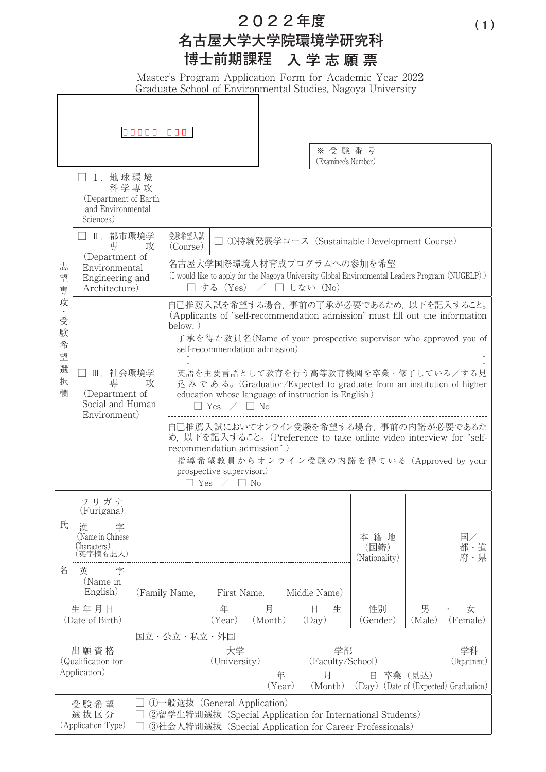**202**2**年度**

## **名古屋大学大学院環境学研究科 博士前期課程 入学志願票**

Master's Program Application Form for Academic Year 2022 Graduate School of Environmental Studies, Nagoya University

|                                            |                                                                                                                       |                                              |                                                                                                                                                                                                                                                                                                                                                                                                                                                                                                                                                                                                                                                                                                              |                    |              | ※受験番号<br>(Examinee's Number)           |                                                                                                                      |             |                    |
|--------------------------------------------|-----------------------------------------------------------------------------------------------------------------------|----------------------------------------------|--------------------------------------------------------------------------------------------------------------------------------------------------------------------------------------------------------------------------------------------------------------------------------------------------------------------------------------------------------------------------------------------------------------------------------------------------------------------------------------------------------------------------------------------------------------------------------------------------------------------------------------------------------------------------------------------------------------|--------------------|--------------|----------------------------------------|----------------------------------------------------------------------------------------------------------------------|-------------|--------------------|
| 志<br>望<br>専                                | I. 地球環境<br>科学専攻<br>(Department of Earth)<br>and Environmental<br>Sciences)                                            |                                              |                                                                                                                                                                                                                                                                                                                                                                                                                                                                                                                                                                                                                                                                                                              |                    |              |                                        |                                                                                                                      |             |                    |
|                                            | Ⅱ. 都市環境学<br>$\overline{\phantom{0}}$<br>専<br>攻<br>(Department of<br>Environmental<br>Engineering and<br>Architecture) |                                              | 受験希望入試<br>□ ①持続発展学コース(Sustainable Development Course)<br>(Course)                                                                                                                                                                                                                                                                                                                                                                                                                                                                                                                                                                                                                                            |                    |              |                                        |                                                                                                                      |             |                    |
|                                            |                                                                                                                       |                                              | 名古屋大学国際環境人材育成プログラムへの参加を希望<br>(I would like to apply for the Nagoya University Global Environmental Leaders Program (NUGELP).)<br>□ する (Yes) / □ しない (No)                                                                                                                                                                                                                                                                                                                                                                                                                                                                                                                                                     |                    |              |                                        |                                                                                                                      |             |                    |
| 攻<br>受<br>験<br>希<br>望<br>選<br>択<br>欄       | Ⅲ.社会環境学<br>専<br>攻<br>(Department of<br>Social and Human<br>Environment)                                               |                                              | 自己推薦入試を希望する場合, 事前の了承が必要であるため, 以下を記入すること。<br>(Applicants of "self-recommendation admission" must fill out the information<br>below. $)$<br>了承を得た教員名(Name of your prospective supervisor who approved you of<br>self-recommendation admission)<br>英語を主要言語として教育を行う高等教育機関を卒業・修了している/する見<br>込みである。(Graduation/Expected to graduate from an institution of higher<br>education whose language of instruction is English.)<br>$\Box$ Yes $\angle$ $\Box$ No<br>自己推薦入試においてオンライン受験を希望する場合, 事前の内諾が必要であるた<br>め, 以下を記入すること。(Preference to take online video interview for "self-<br>recommendation admission")<br>指導希望教員からオンライン受験の内諾を得ている (Approved by your<br>prospective supervisor.)<br>$\Box$ Yes $\angle$ $\Box$ No |                    |              |                                        |                                                                                                                      |             |                    |
|                                            | フリガナ<br>(Furigana)                                                                                                    |                                              |                                                                                                                                                                                                                                                                                                                                                                                                                                                                                                                                                                                                                                                                                                              |                    |              |                                        |                                                                                                                      |             |                    |
| 氏                                          | 字<br>凍<br>(Name in Chinese)<br>Characters)                                                                            |                                              |                                                                                                                                                                                                                                                                                                                                                                                                                                                                                                                                                                                                                                                                                                              |                    |              |                                        | 本籍地<br>(国籍)<br>(Nationality)                                                                                         |             | 国/<br>都・道<br>府·県   |
| 名                                          | 字<br>英<br>(Name in<br>English)                                                                                        | Middle Name)<br>First Name,<br>(Family Name, |                                                                                                                                                                                                                                                                                                                                                                                                                                                                                                                                                                                                                                                                                                              |                    |              |                                        |                                                                                                                      |             |                    |
|                                            | 生年月日<br>(Date of Birth)                                                                                               |                                              |                                                                                                                                                                                                                                                                                                                                                                                                                                                                                                                                                                                                                                                                                                              | 年<br>(Year)        | 月<br>(Month) | 日<br>生<br>(Day)                        | 性別<br>(Gender)                                                                                                       | 男<br>(Male) | 女<br>(Female)      |
| 出願資格<br>(Qualification for<br>Application) |                                                                                                                       |                                              | 国立・公立・私立・外国                                                                                                                                                                                                                                                                                                                                                                                                                                                                                                                                                                                                                                                                                                  | 大学<br>(University) | 年<br>(Year)  | 学部<br>(Faculty/School)<br>月<br>(Month) | 日<br>(Day) (Date of (Expected) Graduation)                                                                           | 卒業(見込)      | 学科<br>(Department) |
| 受験希望<br>選抜区分<br>(Application Type)         |                                                                                                                       |                                              | ①一般選抜 (General Application)                                                                                                                                                                                                                                                                                                                                                                                                                                                                                                                                                                                                                                                                                  |                    |              |                                        | ②留学生特別選抜 (Special Application for International Students)<br>3社会人特別選抜 (Special Application for Career Professionals) |             |                    |